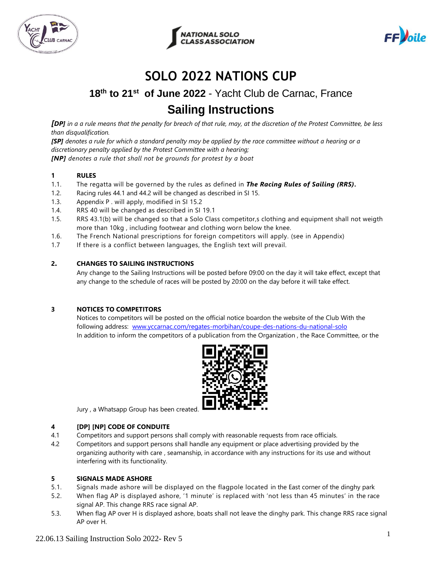



$$
FF)olle
$$

# **SOLO 2022 NATIONS CUP**

# **18th to 21st of June 2022** - Yacht Club de Carnac, France **Sailing Instructions**

*[DP] in a a rule means that the penalty for breach of that rule, may, at the discretion of the Protest Committee, be less than disqualification.*

*[SP] denotes a rule for which a standard penalty may be applied by the race committee without a hearing or a discretionary penalty applied by the Protest Committee with a hearing; [NP] denotes a rule that shall not be grounds for protest by a boat*

# **1 RULES**

- 1.1. The regatta will be governed by the rules as defined in *The Racing Rules of Sailing (RRS).*
- 1.2. Racing rules 44.1 and 44.2 will be changed as described in SI 15.
- 1.3. Appendix P . will apply, modified in SI 15.2
- 1.4. RRS 40 will be changed as described in SI 19.1
- 1.5. RRS 43.1(b) will be changed so that a Solo Class competitor,s clothing and equipment shall not weigth more than 10kg , including footwear and clothing worn below the knee.
- 1.6. The French National prescriptions for foreign competitors will apply. (see in Appendix)
- 1.7 If there is a conflict between languages, the English text will prevail.

#### **2. CHANGES TO SAILING INSTRUCTIONS**

Any change to the Sailing Instructions will be posted before 09:00 on the day it will take effect, except that any change to the schedule of races will be posted by 20:00 on the day before it will take effect.

#### **3 NOTICES TO COMPETITORS**

Notices to competitors will be posted on the official notice boardon the website of the Club With the following address: [www.yccarnac.com/regates-morbihan/coupe-des-nations-du-national-solo](http://www.yccarnac.com/regates-morbihan/coupe-des-nations-du-national-solo) In addition to inform the competitors of a publication from the Organization , the Race Committee, or the



Jury, a Whatsapp Group has been created

#### **4 [DP] [NP] CODE OF CONDUITE**

- 4.1 Competitors and support persons shall comply with reasonable requests from race officials.
- 4.2 Competitors and support persons shall handle any equipment or place advertising provided by the organizing authority with care , seamanship, in accordance with any instructions for its use and without interfering with its functionality.

#### **5 SIGNALS MADE ASHORE**

- 5.1. Signals made ashore will be displayed on the flagpole located in the East corner of the dinghy park
- 5.2. When flag AP is displayed ashore, '1 minute' is replaced with 'not less than 45 minutes' in the race signal AP. This change RRS race signal AP.
- 5.3. When flag AP over H is displayed ashore, boats shall not leave the dinghy park. This change RRS race signal AP over H.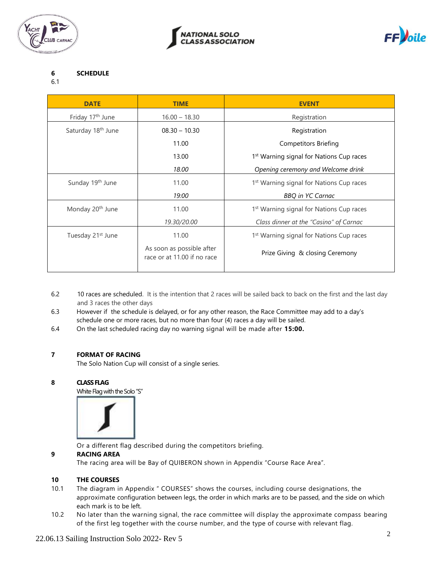





# **6 SCHEDULE**

#### 6.1

| <b>DATE</b>                    | <b>TIME</b>                                              | <b>EVENT</b>                                         |
|--------------------------------|----------------------------------------------------------|------------------------------------------------------|
| Friday 17 <sup>th</sup> June   | $16.00 - 18.30$                                          | Registration                                         |
| Saturday 18 <sup>th</sup> June | $08.30 - 10.30$                                          | Registration                                         |
|                                | 11.00                                                    | <b>Competitors Briefing</b>                          |
|                                | 13.00                                                    | 1 <sup>st</sup> Warning signal for Nations Cup races |
|                                | 18.00                                                    | Opening ceremony and Welcome drink                   |
| Sunday 19th June               | 11.00                                                    | 1 <sup>st</sup> Warning signal for Nations Cup races |
|                                | 19:00                                                    | <b>BBQ</b> in YC Carnac                              |
| Monday 20 <sup>th</sup> June   | 11.00                                                    | 1 <sup>st</sup> Warning signal for Nations Cup races |
|                                | 19.30/20.00                                              | Class dinner at the "Casino" of Carnac               |
| Tuesday 21 <sup>st</sup> June  | 11.00                                                    | 1 <sup>st</sup> Warning signal for Nations Cup races |
|                                | As soon as possible after<br>race or at 11.00 if no race | Prize Giving & closing Ceremony                      |

- 6.2 10 races are scheduled. It is the intention that 2 races will be sailed back to back on the first and the last day and 3 races the other days
- 6.3 However if the schedule is delayed, or for any other reason, the Race Committee may add to a day's schedule one or more races, but no more than four (4) races a day will be sailed.
- 6.4 On the last scheduled racing day no warning signal will be made after **15:00.**

# **7 FORMAT OF RACING**

The Solo Nation Cup will consist of a single series.

#### **8 CLASS FLAG**

White Flag with the Solo "S"



Or a different flag described during the competitors briefing.

# **9 RACING AREA**

The racing area will be Bay of QUIBERON shown in Appendix "Course Race Area".

# **10 THE COURSES**

- 10.1 The diagram in Appendix " COURSES" shows the courses, including course designations, the approximate configuration between legs, the order in which marks are to be passed, and the side on which each mark is to be left.
- 10.2 No later than the warning signal, the race committee will display the approximate compass bearing of the first leg together with the course number, and the type of course with relevant flag.

# 22.06.13 Sailing Instruction Solo 2022- Rev 5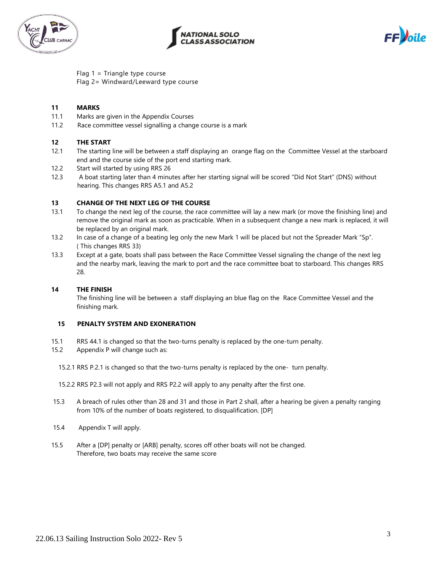



$$
FF)
$$

Flag 1 = Triangle type course Flag 2= Windward/Leeward type course

#### **11 MARKS**

- 11.1 Marks are given in the Appendix Courses
- 11.2 Race committee vessel signalling a change course is a mark

#### **12 THE START**

- 12.1 The starting line will be between a staff displaying an orange flag on the Committee Vessel at the starboard end and the course side of the port end starting mark.
- 12.2 Start will started by using RRS 26
- 12.3 A boat starting later than 4 minutes after her starting signal will be scored "Did Not Start" (DNS) without hearing. This changes RRS A5.1 and A5.2

#### **13 CHANGE OF THE NEXT LEG OF THE COURSE**

- 13.1 To change the next leg of the course, the race committee will lay a new mark (or move the finishing line) and remove the original mark as soon as practicable. When in a subsequent change a new mark is replaced, it will be replaced by an original mark.
- 13.2 In case of a change of a beating leg only the new Mark 1 will be placed but not the Spreader Mark "Sp". ( This changes RRS 33)
- 13.3 Except at a gate, boats shall pass between the Race Committee Vessel signaling the change of the next leg and the nearby mark, leaving the mark to port and the race committee boat to starboard. This changes RRS 28.

#### **14 THE FINISH**

The finishing line will be between a staff displaying an blue flag on the Race Committee Vessel and the finishing mark.

#### **15 PENALTY SYSTEM AND EXONERATION**

- 15.1 RRS 44.1 is changed so that the two-turns penalty is replaced by the one-turn penalty.
- 15.2 Appendix P will change such as:
	- 15.2.1 RRS P.2.1 is changed so that the two-turns penalty is replaced by the one- turn penalty.

15.2.2 RRS P2.3 will not apply and RRS P2.2 will apply to any penalty after the first one.

- 15.3 A breach of rules other than 28 and 31 and those in Part 2 shall, after a hearing be given a penalty ranging from 10% of the number of boats registered, to disqualification. [DP]
- 15.4 Appendix T will apply.
- 15.5 After a [DP] penalty or [ARB] penalty, scores off other boats will not be changed. Therefore, two boats may receive the same score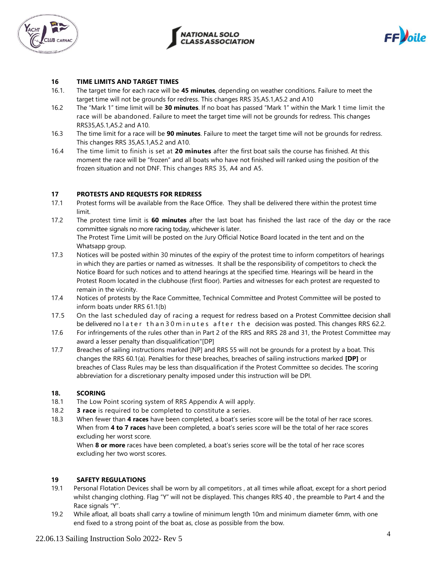



$$
FF)olle
$$

#### **16 TIME LIMITS AND TARGET TIMES**

- 16.1. The target time for each race will be **45 minutes**, depending on weather conditions. Failure to meet the target time will not be grounds for redress. This changes RRS 35,A5.1,A5.2 and A10
- 16.2 The "Mark 1" time limit will be **30 minutes**. If no boat has passed "Mark 1" within the Mark 1 time limit the race will be abandoned. Failure to meet the target time will not be grounds for redress. This changes RRS35,A5.1,A5.2 and A10.
- 16.3 The time limit for a race will be **90 minutes**. Failure to meet the target time will not be grounds for redress. This changes RRS 35,A5.1,A5.2 and A10.
- 16.4 The time limit to finish is set at **20 minutes** after the first boat sails the course has finished. At this moment the race will be "frozen" and all boats who have not finished will ranked using the position of the frozen situation and not DNF. This changes RRS 35, A4 and A5.

#### **17 PROTESTS AND REQUESTS FOR REDRESS**

- 17.1 Protest forms will be available from the Race Office. They shall be delivered there within the protest time limit.
- 17.2 The protest time limit is **60 minutes** after the last boat has finished the last race of the day or the race committee signals no more racing today, whichever is later. The Protest Time Limit will be posted on the Jury Official Notice Board located in the tent and on the
- Whatsapp group. 17.3 Notices will be posted within 30 minutes of the expiry of the protest time to inform competitors of hearings in which they are parties or named as witnesses. It shall be the responsibility of competitors to check the Notice Board for such notices and to attend hearings at the specified time. Hearings will be heard in the Protest Room located in the clubhouse (first floor). Parties and witnesses for each protest are requested to remain in the vicinity.
- 17.4 Notices of protests by the Race Committee, Technical Committee and Protest Committee will be posted to inform boats under RRS 61.1(b)
- 17.5 On the last scheduled day of racing a request for redress based on a Protest Committee decision shall be delivered no later than 30 m in utes after the decision was posted. This changes RRS 62.2.
- 17.6 For infringements of the rules other than in Part 2 of the RRS and RRS 28 and 31, the Protest Committee may award a lesser penalty than disqualification"[DP]
- 17.7 Breaches of sailing instructions marked [NP] and RRS 55 will not be grounds for a protest by a boat. This changes the RRS 60.1(a). Penalties for these breaches, breaches of sailing instructions marked **[DP]** or breaches of Class Rules may be less than disqualification if the Protest Committee so decides. The scoring abbreviation for a discretionary penalty imposed under this instruction will be DPI.

#### **18. SCORING**

- 18.1 The Low Point scoring system of RRS Appendix A will apply.
- 18.2 **3 race** is required to be completed to constitute a series.
- 18.3 When fewer than **4 races** have been completed, a boat's series score will be the total of her race scores. When from **4 to 7 races** have been completed, a boat's series score will be the total of her race scores excluding her worst score.

When **8 or more** races have been completed, a boat's series score will be the total of her race scores excluding her two worst scores.

# **19 SAFETY REGULATIONS**

- 19.1 Personal Flotation Devices shall be worn by all competitors , at all times while afloat, except for a short period whilst changing clothing. Flag "Y" will not be displayed. This changes RRS 40, the preamble to Part 4 and the Race signals "Y".
- 19.2 While afloat, all boats shall carry a towline of minimum length 10m and minimum diameter 6mm, with one end fixed to a strong point of the boat as, close as possible from the bow.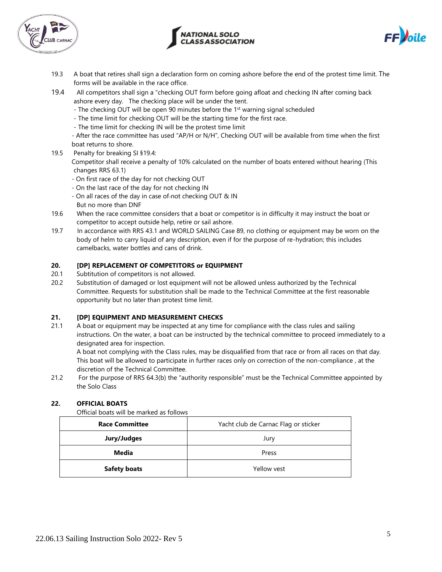





- 19.3 A boat that retires shall sign a declaration form on coming ashore before the end of the protest time limit. The forms will be available in the race office.
- 19.4 All competitors shall sign a "checking OUT form before going afloat and checking IN after coming back ashore every day. The checking place will be under the tent.
	- The checking OUT will be open 90 minutes before the 1<sup>st</sup> warning signal scheduled
	- The time limit for checking OUT will be the starting time for the first race.
	- The time limit for checking IN will be the protest time limit

- After the race committee has used "AP/H or N/H", Checking OUT will be available from time when the first boat returns to shore.

19.5 Penalty for breaking SI §19.4:

Competitor shall receive a penalty of 10% calculated on the number of boats entered without hearing (This changes RRS 63.1)

- On first race of the day for not checking OUT
- On the last race of the day for not checking IN
- On all races of the day in case of not checking OUT & IN But no more than DNF
- 19.6 When the race committee considers that a boat or competitor is in difficulty it may instruct the boat or competitor to accept outside help, retire or sail ashore.
- 19.7 In accordance with RRS 43.1 and WORLD SAILING Case 89, no clothing or equipment may be worn on the body of helm to carry liquid of any description, even if for the purpose of re-hydration; this includes camelbacks, water bottles and cans of drink.

#### **20. [DP] REPLACEMENT OF COMPETITORS or EQUIPMENT**

- 20.1 Subtitution of competitors is not allowed.
- 20.2 Substitution of damaged or lost equipment will not be allowed unless authorized by the Technical Committee. Requests for substitution shall be made to the Technical Committee at the first reasonable opportunity but no later than protest time limit.

#### **21. [DP] EQUIPMENT AND MEASUREMENT CHECKS**

21.1 A boat or equipment may be inspected at any time for compliance with the class rules and sailing instructions. On the water, a boat can be instructed by the technical committee to proceed immediately to a designated area for inspection.

A boat not complying with the Class rules, may be disqualified from that race or from all races on that day. This boat will be allowed to participate in further races only on correction of the non-compliance , at the discretion of the Technical Committee.

21.2 For the purpose of RRS 64.3(b) the "authority responsible" must be the Technical Committee appointed by the Solo Class

#### **22. OFFICIAL BOATS**

Official boats will be marked as follows

| <b>Race Committee</b> | Yacht club de Carnac Flag or sticker |
|-----------------------|--------------------------------------|
| Jury/Judges           | Jury                                 |
| Media                 | Press                                |
| <b>Safety boats</b>   | Yellow vest                          |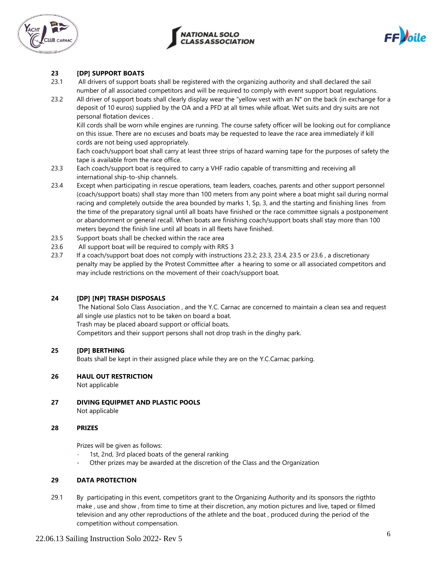





### **23 [DP] SUPPORT BOATS**

- 23.1 All drivers of support boats shall be registered with the organizing authority and shall declared the sail number of all associated competitors and will be required to comply with event support boat regulations.
- 23.2 All driver of support boats shall clearly display wear the "yellow vest with an  $N^{\circ}$  on the back (in exchange for a deposit of 10 euros) supplied by the OA and a PFD at all times while afloat. Wet suits and dry suits are not personal flotation devices .

Kill cords shall be worn while engines are running. The course safety officer will be looking out for compliance on this issue. There are no excuses and boats may be requested to leave the race area immediately if kill cords are not being used appropriately.

Each coach/support boat shall carry at least three strips of hazard warning tape for the purposes of safety the tape is available from the race office.

- 23.3 Each coach/support boat is required to carry a VHF radio capable of transmitting and receiving all international ship-to-ship channels.
- 23.4 Except when participating in rescue operations, team leaders, coaches, parents and other support personnel (coach/support boats) shall stay more than 100 meters from any point where a boat might sail during normal racing and completely outside the area bounded by marks 1, Sp, 3, and the starting and finishing lines from the time of the preparatory signal until all boats have finished or the race committee signals a postponement or abandonment or general recall. When boats are finishing coach/support boats shall stay more than 100 meters beyond the finish line until all boats in all fleets have finished.
- 23.5 Support boats shall be checked within the race area
- 23.6 All support boat will be required to comply with RRS 3
- 23.7 If a coach/support boat does not comply with instructions 23.2; 23.3, 23.4, 23.5 or 23.6 , a discretionary penalty may be applied by the Protest Committee after a hearing to some or all associated competitors and may include restrictions on the movement of their coach/support boat.

#### **24 [DP] [NP] TRASH DISPOSALS**

The National Solo Class Association , and the Y.C. Carnac are concerned to maintain a clean sea and request all single use plastics not to be taken on board a boat.

Trash may be placed aboard support or official boats.

Competitors and their support persons shall not drop trash in the dinghy park.

#### **25 [DP] BERTHING**

Boats shall be kept in their assigned place while they are on the Y.C.Carnac parking.

#### **26 HAUL OUT RESTRICTION**

Not applicable

**27 DIVING EQUIPMET AND PLASTIC POOLS** Not applicable

#### **28 PRIZES**

Prizes will be given as follows:

- 1st, 2nd, 3rd placed boats of the general ranking
- Other prizes may be awarded at the discretion of the Class and the Organization

#### **29 DATA PROTECTION**

29.1 By participating in this event, competitors grant to the Organizing Authority and its sponsors the rigthto make , use and show , from time to time at their discretion, any motion pictures and live, taped or filmed television and any other reproductions of the athlete and the boat , produced during the period of the competition without compensation.

#### 22.06.13 Sailing Instruction Solo 2022- Rev 5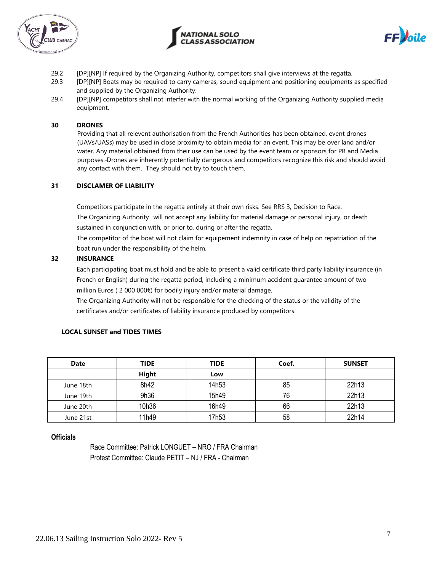



$$
FFje
$$

- 29.2 [DP][NP] If required by the Organizing Authority, competitors shall give interviews at the regatta.
- 29.3 [DP][NP] Boats may be required to carry cameras, sound equipment and positioning equipments as specified and supplied by the Organizing Authority.
- 29.4 [DP][NP] competitors shall not interfer with the normal working of the Organizing Authority supplied media equipment.

#### **30 DRONES**

Providing that all relevent authorisation from the French Authorities has been obtained, event drones (UAVs/UASs) may be used in close proximity to obtain media for an event. This may be over land and/or water. Any material obtained from their use can be used by the event team or sponsors for PR and Media purposes. Drones are inherently potentially dangerous and competitors recognize this risk and should avoid any contact with them. They should not try to touch them.

#### **31 DISCLAMER OF LIABILITY**

Competitors participate in the regatta entirely at their own risks. See RRS 3, Decision to Race. The Organizing Authority will not accept any liability for material damage or personal injury, or death sustained in conjunction with, or prior to, during or after the regatta.

The competitor of the boat will not claim for equipement indemnity in case of help on repatriation of the boat run under the responsibility of the helm.

# **32 INSURANCE**

Each participating boat must hold and be able to present a valid certificate third party liability insurance (in French or English) during the regatta period, including a minimum accident guarantee amount of two million Euros ( 2 000 000€) for bodily injury and/or material damage.

The Organizing Authority will not be responsible for the checking of the status or the validity of the certificates and/or certificates of liability insurance produced by competitors.

| <b>Date</b> | <b>TIDE</b> | <b>TIDE</b> | Coef. | <b>SUNSET</b> |
|-------------|-------------|-------------|-------|---------------|
|             | Hight       | Low         |       |               |
| June 18th   | 8h42        | 14h53       | 85    | 22h13         |
| June 19th   | 9h36        | 15h49       | 76    | 22h13         |
| June 20th   | 10h36       | 16h49       | 66    | 22h13         |
| June 21st   | 11h49       | 17h53       | 58    | 22h14         |

#### **LOCAL SUNSET and TIDES TIMES**

#### **Officials**

Race Committee: Patrick LONGUET – NRO / FRA Chairman Protest Committee: Claude PETIT – NJ / FRA - Chairman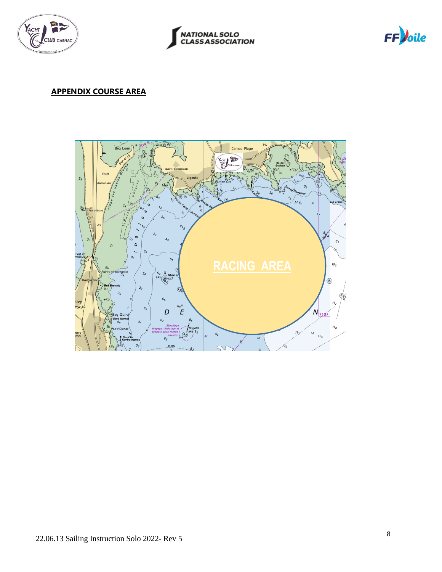





# **APPENDIX COURSE AREA**

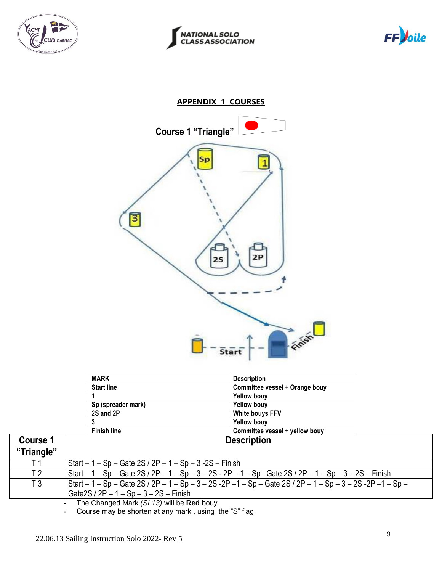





# **APPENDIX 1 COURSES**



| <b>MARK</b>        | <b>Description</b>             |
|--------------------|--------------------------------|
| <b>Start line</b>  | Committee vessel + Orange bouy |
|                    | <b>Yellow bouy</b>             |
| Sp (spreader mark) | <b>Yellow bouy</b>             |
| 2S and 2P          | White bouys FFV                |
|                    | <b>Yellow bouy</b>             |
| <b>Finish line</b> | Committee vessel + yellow bouy |
|                    | <b>Description</b>             |

| <b>Course 1</b> | <b>Description</b>                                                                                          |
|-----------------|-------------------------------------------------------------------------------------------------------------|
| "Triangle"      |                                                                                                             |
|                 | Start $-1 - Sp - Gate 2S / 2P - 1 - Sp - 3 - 2S - Finish$                                                   |
| T 2             | Start $-1$ – Sp – Gate 2S / 2P – 1 – Sp – 3 – 2S - 2P –1 – Sp –Gate 2S / 2P – 1 – Sp – 3 – 2S – Finish      |
| T3              | Start $-1$ – Sp – Gate 2S / 2P – 1 – Sp – 3 – 2S -2P –1 – Sp – Gate 2S / 2P – 1 – Sp – 3 – 2S -2P –1 – Sp – |
|                 | Gate $2S / 2P - 1 - Sp - 3 - 2S - Finish$                                                                   |
|                 | The Changed Mark $(0119)$ will be <b>Deal</b> hour.                                                         |

- The Changed Mark *(SI 13)* will be **Red** bouy

- Course may be shorten at any mark , using the "S" flag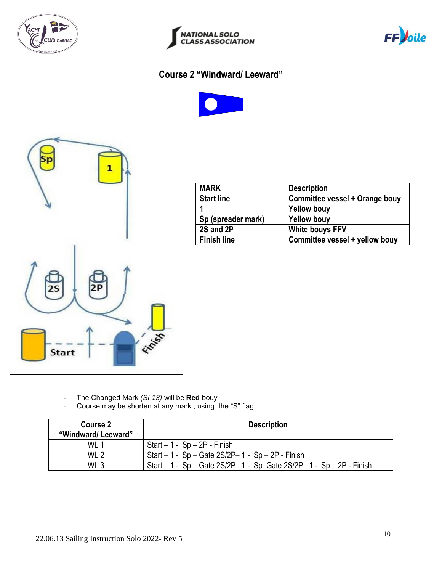





# **Course 2 "Windward/ Leeward"**





| <b>MARK</b>        | <b>Description</b>             |
|--------------------|--------------------------------|
| <b>Start line</b>  | Committee vessel + Orange bouy |
|                    | <b>Yellow bouy</b>             |
| Sp (spreader mark) | <b>Yellow bouy</b>             |
| 2S and 2P          | <b>White bouys FFV</b>         |
| <b>Finish line</b> | Committee vessel + yellow bouy |

- The Changed Mark *(SI 13)* will be **Red** bouy
- Course may be shorten at any mark , using the "S" flag

| Course 2<br>"Windward/Leeward" | <b>Description</b>                                                   |  |
|--------------------------------|----------------------------------------------------------------------|--|
| WL 1                           | $Start - 1 - Sp - 2P - Finish$                                       |  |
| WL <sub>2</sub>                | Start $-1 - Sp - Gate 2S/2P - 1 - Sp - 2P - Finish$                  |  |
| WL <sub>3</sub>                | Start - 1 - Sp - Gate 2S/2P- 1 - Sp-Gate 2S/2P- 1 - Sp - 2P - Finish |  |